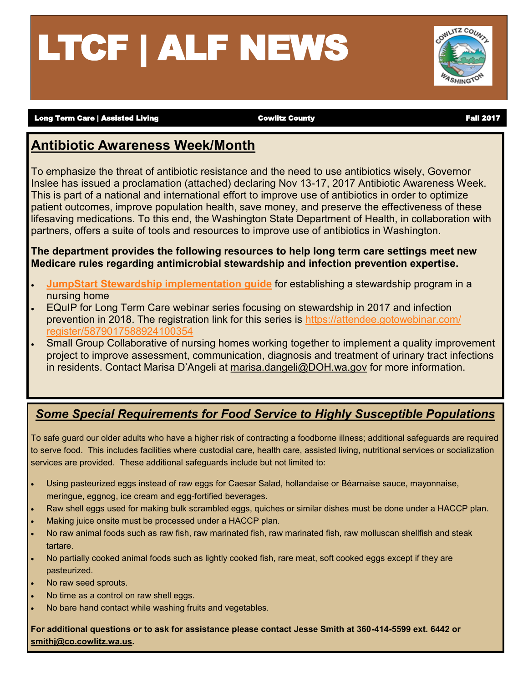# LTCF | ALF NEWS



Long Term Care | Assisted Living **Cowlitz County** Cowlitz County County Fall 2017

### **Antibiotic Awareness Week/Month**

To emphasize the threat of antibiotic resistance and the need to use antibiotics wisely, Governor Inslee has issued a proclamation (attached) declaring Nov 13-17, 2017 Antibiotic Awareness Week. This is part of a national and international effort to improve use of antibiotics in order to optimize patient outcomes, improve population health, save money, and preserve the effectiveness of these lifesaving medications. To this end, the Washington State Department of Health, in collaboration with partners, offers a suite of tools and resources to improve use of antibiotics in Washington.

**The department provides the following resources to help long term care settings meet new Medicare rules regarding antimicrobial stewardship and infection prevention expertise.**

- **[JumpStart Stewardship implementation guide](https://www.doh.wa.gov/Portals/1/Documents/5000/420-Non-DOH-JumpStartStewardshipNursingHomes.pdf)** for establishing a stewardship program in a nursing home
- EQuIP for Long Term Care webinar series focusing on stewardship in 2017 and infection prevention in 2018. The registration link for this series is [https://attendee.gotowebinar.com/](https://register.gotowebinar.com/register/5879017588924100354) [register/5879017588924100354](https://register.gotowebinar.com/register/5879017588924100354)
- Small Group Collaborative of nursing homes working together to implement a quality improvement project to improve assessment, communication, diagnosis and treatment of urinary tract infections in residents. Contact Marisa D'Angeli at [marisa.dangeli@DOH.wa.gov](mailto:marisa.dangeli@DOH.wa.gov) for more information.

#### *Some Special Requirements for Food Service to Highly Susceptible Populations*

To safe guard our older adults who have a higher risk of contracting a foodborne illness; additional safeguards are required to serve food. This includes facilities where custodial care, health care, assisted living, nutritional services or socialization services are provided. These additional safeguards include but not limited to:

- Using pasteurized eggs instead of raw eggs for Caesar Salad, hollandaise or Béarnaise sauce, mayonnaise, meringue, eggnog, ice cream and egg-fortified beverages.
- Raw shell eggs used for making bulk scrambled eggs, quiches or similar dishes must be done under a HACCP plan.
- Making juice onsite must be processed under a HACCP plan.
- No raw animal foods such as raw fish, raw marinated fish, raw marinated fish, raw molluscan shellfish and steak tartare.
- No partially cooked animal foods such as lightly cooked fish, rare meat, soft cooked eggs except if they are pasteurized.
- No raw seed sprouts.
- No time as a control on raw shell eggs.
- No bare hand contact while washing fruits and vegetables.

**For additional questions or to ask for assistance please contact Jesse Smith at 360-414-5599 ext. 6442 or [smithj@co.cowlitz.wa.us.](mailto:smithj@co.cowlitz.wa.us)**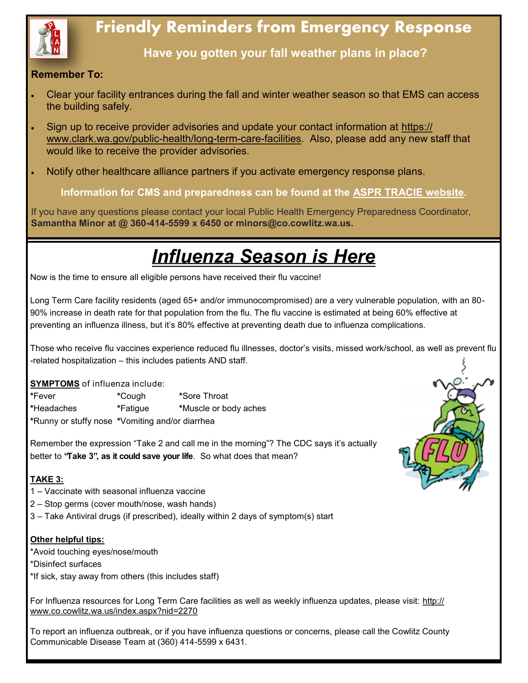

## **Friendly Reminders from Emergency Response**

**Have you gotten your fall weather plans in place?** 

#### **Remember To:**

- Clear your facility entrances during the fall and winter weather season so that EMS can access the building safely.
- Sign up to receive provider advisories and update your contact information at [https://](https://www.clark.wa.gov/public-health/long-term-care-facilities) [www.clark.wa.gov/public](https://www.clark.wa.gov/public-health/long-term-care-facilities)-health/long-term-care-facilities. Also, please add any new staff that would like to receive the provider advisories.
- Notify other healthcare alliance partners if you activate emergency response plans.

**Information for CMS and preparedness can be found at the [ASPR TRACIE website.](https://asprtracie.hhs.gov/)**

If you have any questions please contact your local Public Health Emergency Preparedness Coordinator, **Samantha Minor at @ 360-414-5599 x 6450 or minors@co.cowlitz.wa.us.** 

# *Influenza Season is Here*

Now is the time to ensure all eligible persons have received their flu vaccine!

Long Term Care facility residents (aged 65+ and/or immunocompromised) are a very vulnerable population, with an 80- 90% increase in death rate for that population from the flu. The flu vaccine is estimated at being 60% effective at preventing an influenza illness, but it's 80% effective at preventing death due to influenza complications.

Those who receive flu vaccines experience reduced flu illnesses, doctor's visits, missed work/school, as well as prevent flu -related hospitalization – this includes patients AND staff.

**SYMPTOMS** of influenza include:

**\***Fever **\***Cough **\***Sore Throat **\***Headaches **\***Fatigue **\***Muscle or body aches **\***Runny or stuffy nose **\***Vomiting and/or diarrhea

Remember the expression "Take 2 and call me in the morning"? The CDC says it's actually better to **"Take 3", as it could save your life**. So what does that mean?

#### **TAKE 3:**

- 1 Vaccinate with seasonal influenza vaccine
- 2 Stop germs (cover mouth/nose, wash hands)
- 3 Take Antiviral drugs (if prescribed), ideally within 2 days of symptom(s) start

#### **Other helpful tips:**

- \*Avoid touching eyes/nose/mouth
- \*Disinfect surfaces
- \*If sick, stay away from others (this includes staff)

For Influenza resources for Long Term Care facilities as well as weekly influenza updates, please visit: [http://](http://www.co.cowlitz.wa.us/index.aspx?nid=2270) [www.co.cowlitz.wa.us/index.aspx?nid=2270](http://www.co.cowlitz.wa.us/index.aspx?nid=2270)

To report an influenza outbreak, or if you have influenza questions or concerns, please call the Cowlitz County Communicable Disease Team at (360) 414-5599 x 6431.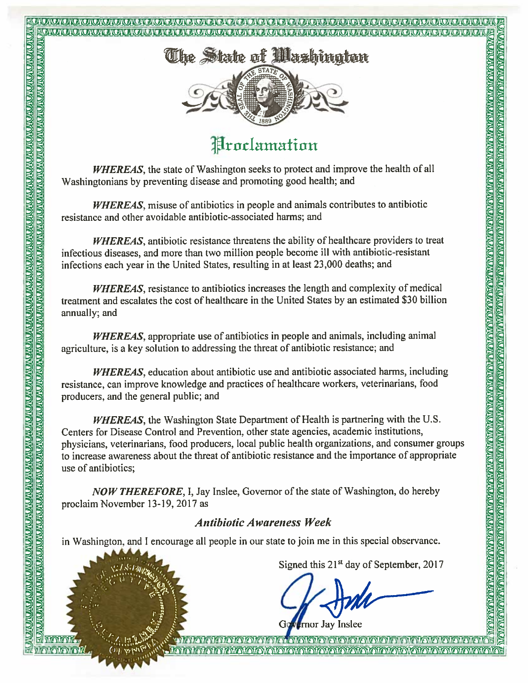# <u>EACATA A CALACATA DA A CALACATA A CALACATA A CALACATA A CALACATA A CALACATA CALACATA A CALACATA A CALACATA D</u>



## **Proclamation**

WHEREAS, the state of Washington seeks to protect and improve the health of all Washingtonians by preventing disease and promoting good health; and

WHEREAS, misuse of antibiotics in people and animals contributes to antibiotic resistance and other avoidable antibiotic-associated harms; and

WHEREAS, antibiotic resistance threatens the ability of healthcare providers to treat infectious diseases, and more than two million people become ill with antibiotic-resistant infections each year in the United States, resulting in at least 23,000 deaths; and

**WHEREAS**, resistance to antibiotics increases the length and complexity of medical treatment and escalates the cost of healthcare in the United States by an estimated \$30 billion annually; and

**WHEREAS**, appropriate use of antibiotics in people and animals, including animal agriculture, is a key solution to addressing the threat of antibiotic resistance; and

WHEREAS, education about antibiotic use and antibiotic associated harms, including resistance, can improve knowledge and practices of healthcare workers, veterinarians, food producers, and the general public; and

**Example 2011**<br> **Example 2011**<br> **Example 2012**<br> **Example 2012**<br> **Example 2012**<br> **Example 2012**<br> **Example 2012**<br> **Example 2012**<br> **Example 2012**<br> **Example 2012**<br> **Example 2012**<br> **Example 2012**<br> **Example 2012**<br> **Example 2013 WHEREAS**, the Washington State Department of Health is partnering with the U.S. Centers for Disease Control and Prevention, other state agencies, academic institutions, physicians, veterinarians, food producers, local public health organizations, and consumer groups to increase awareness about the threat of antibiotic resistance and the importance of appropriate use of antibiotics:

NOW THEREFORE, I, Jay Inslee, Governor of the state of Washington, do hereby proclaim November 13-19, 2017 as

#### **Antibiotic Awareness Week**

in Washington, and I encourage all people in our state to join me in this special observance.

**TERM AN DE LA BIBLIO DE LA BIBLIO DE LA BIBLIO DE LA BIBLIO DE LA BIBLIO DE LA BIBLIO DE LA BIBLIO DE LA BIBLIO DE LA BIBLIO DE LA BIBLIO DE LA BIBLIO DE LA BIBLIO DE LA BIBLIO DE LA BIBLIO DE LA BIBLIO DE LA BIBLIO DE LA** 

<u>Marcale Marchard Charles Contains Marcale Marcale Marcale Alexandric Marcale Marcale Marcale Marcale Marcale</u>